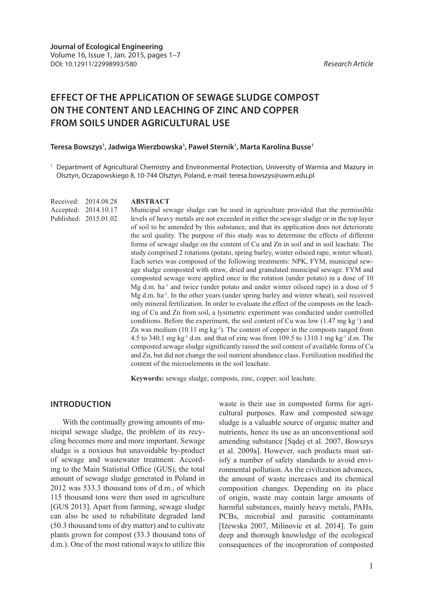# **EFFECT OF THE APPLICATION OF SEWAGE SLUDGE COMPOST ON THE CONTENT AND LEACHING OF ZINC AND COPPER FROM SOILS UNDER AGRICULTURAL USE**

#### **Teresa Bowszys1 , Jadwiga Wierzbowska1 , Paweł Sternik1 , Marta Karolina Busse1**

<sup>1</sup> Department of Agricultural Chemistry and Environmental Protection, University of Warmia and Mazury in Olsztyn, Oczapowskiego 8, 10-744 Olsztyn, Poland, e-mail: teresa.bowszys@uwm.edu.pl

Received: 2014.08.28 Accepted: 2014.10.17 Published: 2015.01.02

#### **ABSTRACT**

Municipal sewage sludge can be used in agriculture provided that the permissible levels of heavy metals are not exceeded in either the sewage sludge or in the top layer of soil to be amended by this substance, and that its application does not deteriorate the soil quality. The purpose of this study was to determine the effects of different forms of sewage sludge on the content of Cu and Zn in soil and in soil leachate. The study comprised 2 rotations (potato, spring barley, winter oilseed rape, winter wheat). Each series was composed of the following treatments: NPK, FYM, municipal sewage sludge composted with straw, dried and granulated municipal sewage. FYM and composted sewage were applied once in the rotation (under potato) in a dose of 10 Mg d.m. ha<sup>-1</sup> and twice (under potato and under winter oilseed rape) in a dose of 5 Mg d.m. ha<sup>-1</sup>. In the other years (under spring barley and winter wheat), soil received only mineral fertilization. In order to evaluate the effect of the composts on the leaching of Cu and Zn from soil, a lysimetric experiment was conducted under controlled conditions. Before the experiment, the soil content of Cu was low  $(1.47 \text{ mg kg}^{-1})$  and Zn was medium  $(10.11 \text{ mg kg}^{-1})$ . The content of copper in the composts ranged from 4.5 to 340.1 mg kg<sup>-1</sup> d.m. and that of zinc was from 109.5 to 1310.1 mg kg<sup>-1</sup> d.m. The composted sewage sludge significantly raised the soil content of available forms of Cu and Zn, but did not change the soil nutrient abundance class. Fertilization modified the content of the microelements in the soil leachate.

**Keywords:** sewage sludge, composts, zinc, copper, soil leachate.

## **INTRODUCTION**

With the continually growing amounts of municipal sewage sludge, the problem of its recycling becomes more and more important. Sewage sludge is a noxious but unavoidable by-product of sewage and wastewater treatment. According to the Main Statistial Office (GUS), the total amount of sewage sludge generated in Poland in 2012 was 533.3 thousand tons of d.m., of which 115 thousand tons were then used in agriculture [GUS 2013]. Apart from farming, sewage sludge can also be used to rehabilitate degraded land (50.3 thousand tons of dry matter) and to cultivate plants grown for compost (33.3 thousand tons of d.m.). One of the most rational ways to utilize this waste is their use in composted forms for agricultural purposes. Raw and composted sewage sludge is a valuable source of organic matter and nutrients, hence its use as an unconventional soil amending substance [Sądej et al. 2007, Bowszys et al. 2009a]. However, such products must satisfy a number of safety standards to avoid environmental pollution. As the civilization advances, the amount of waste increases and its chemical composition changes. Depending on its place of origin, waste may contain large amounts of harmful substances, mainly heavy metals, PAHs, PCBs, microbial and parasitic contaminants [Iżewska 2007, Milinovic et al. 2014]. To gain deep and thorough knowledge of the ecological consequences of the incoproration of composted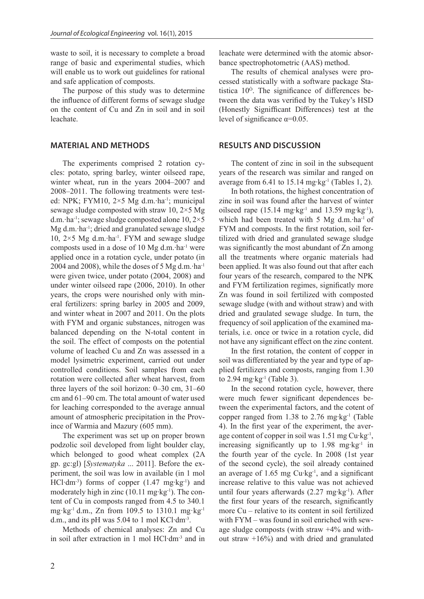waste to soil, it is necessary to complete a broad range of basic and experimental studies, which will enable us to work out guidelines for rational and safe application of composts.

The purpose of this study was to determine the influence of different forms of sewage sludge on the content of Cu and Zn in soil and in soil leachate.

## **MATERIAL AND METHODS**

The experiments comprised 2 rotation cycles: potato, spring barley, winter oilseed rape, winter wheat, run in the years 2004–2007 and 2008–2011. The following treatments were tested: NPK; FYM10, 2×5 Mg d.m.∙ha-1; municipal sewage sludge composted with straw 10, 2×5 Mg d.m.∙ha-1; sewage sludge composted alone 10, 2×5 Mg d.m.∙ha-1; dried and granulated sewage sludge 10, 2×5 Mg d.m.∙ha-1. FYM and sewage sludge composts used in a dose of 10 Mg d.m.∙ha-1 were applied once in a rotation cycle, under potato (in 2004 and 2008), while the doses of 5 Mg d.m.∙ha-1 were given twice, under potato (2004, 2008) and under winter oilseed rape (2006, 2010). In other years, the crops were nourished only with mineral fertilizers: spring barley in 2005 and 2009, and winter wheat in 2007 and 2011. On the plots with FYM and organic substances, nitrogen was balanced depending on the N-total content in the soil. The effect of composts on the potential volume of leached Cu and Zn was assessed in a model lysimetric experiment, carried out under controlled conditions. Soil samples from each rotation were collected after wheat harvest, from three layers of the soil horizon: 0–30 cm, 31–60 cm and 61–90 cm. The total amount of water used for leaching corresponded to the average annual amount of atmospheric precipitation in the Province of Warmia and Mazury (605 mm).

The experiment was set up on proper brown podzolic soil developed from light boulder clay, which belonged to good wheat complex (2A gp. gc:gl) [*Systematyka* ... 2011]. Before the experiment, the soil was low in available (in 1 mol HCl∙dm-3) forms of copper (1.47 mg∙kg-1) and moderately high in zinc (10.11 mg∙kg-1). The content of Cu in composts ranged from 4.5 to 340.1 mg·kg-1 d.m., Zn from 109.5 to 1310.1 mg·kg-1 d.m., and its pH was 5.04 to 1 mol KCl∙dm-3.

Methods of chemical analyses: Zn and Cu in soil after extraction in 1 mol HCl∙dm-3 and in

leachate were determined with the atomic absorbance spectrophotometric (AAS) method.

The results of chemical analyses were processed statistically with a software package Statistica 10Ò. The significance of differences between the data was verified by the Tukey's HSD (Honestly Signifficant Differences) test at the level of significance  $\alpha$ =0.05.

# **RESULTS AND DISCUSSION**

The content of zinc in soil in the subsequent years of the research was similar and ranged on average from 6.41 to 15.14 mg⋅kg<sup>-1</sup> (Tables 1, 2).

In both rotations, the highest concentration of zinc in soil was found after the harvest of winter oilseed rape (15.14 mg⋅kg<sup>-1</sup> and 13.59 mg⋅kg<sup>-1</sup>), which had been treated with 5 Mg d.m.∙ha-1 of FYM and composts. In the first rotation, soil fertilized with dried and granulated sewage sludge was significantly the most abundant of Zn among all the treatments where organic materials had been applied. It was also found out that after each four years of the research, compared to the NPK and FYM fertilization regimes, significatly more Zn was found in soil fertilized with composted sewage sludge (with and without straw) and with dried and graulated sewage sludge. In turn, the frequency of soil application of the examined materials, i.e. once or twice in a rotation cycle, did not have any significant effect on the zinc content.

In the first rotation, the content of copper in soil was differentiated by the year and type of applied fertilizers and composts, ranging from 1.30 to 2.94 mg∙kg-1 (Table 3).

In the second rotation cycle, however, there were much fewer significant dependences between the experimental factors, and the cotent of copper ranged from 1.38 to 2.76 mg∙kg-1 (Table 4). In the first year of the experiment, the average content of copper in soil was 1.51 mg Cu∙kg-1, increasing significantly up to 1.98 mg∙kg-1 in the fourth year of the cycle. In 2008 (1st year of the second cycle), the soil already contained an average of 1.65 mg Cu∙kg-1, and a significant increase relative to this value was not achieved until four years afterwards (2.27 mg∙kg-1). After the first four years of the research, significantly more Cu – relative to its content in soil fertilized with FYM – was found in soil enriched with sewage sludge composts (with straw +4% and without straw  $+16\%$ ) and with dried and granulated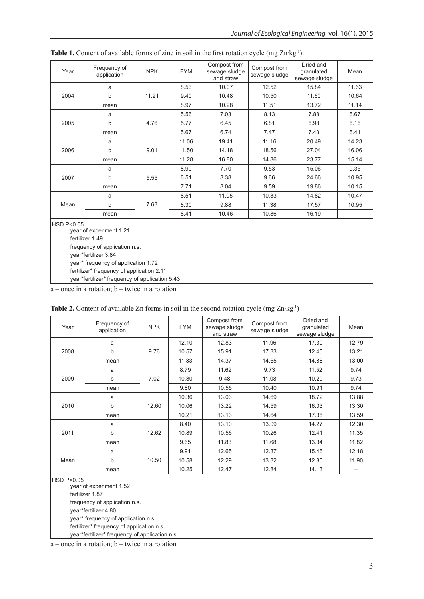| Year                 | Frequency of<br>application                                                                                                                | <b>NPK</b> | <b>FYM</b> | Compost from<br>sewage sludge<br>and straw | Compost from<br>sewage sludge | Dried and<br>granulated<br>sewage sludge | Mean              |
|----------------------|--------------------------------------------------------------------------------------------------------------------------------------------|------------|------------|--------------------------------------------|-------------------------------|------------------------------------------|-------------------|
|                      | a                                                                                                                                          |            | 8.53       | 10.07                                      | 12.52                         | 15.84                                    | 11.63             |
| 2004                 | b                                                                                                                                          | 11.21      | 9.40       | 10.48                                      | 10.50                         | 11.60                                    | 10.64             |
|                      | mean                                                                                                                                       |            | 8.97       | 10.28                                      | 11.51                         | 13.72                                    | 11.14             |
|                      | a                                                                                                                                          |            | 5.56       | 7.03                                       | 8.13                          | 7.88                                     | 6.67              |
| 2005                 | b                                                                                                                                          | 4.76       | 5.77       | 6.45                                       | 6.81                          | 6.98                                     | 6.16              |
|                      | mean                                                                                                                                       |            | 5.67       | 6.74                                       | 7.47                          | 7.43                                     | 6.41              |
| 2006                 | a                                                                                                                                          | 9.01       | 11.06      | 19.41                                      | 11.16                         | 20.49                                    | 14.23             |
|                      | b                                                                                                                                          |            | 11.50      | 14.18                                      | 18.56                         | 27.04                                    | 16.06             |
|                      | mean                                                                                                                                       |            | 11.28      | 16.80                                      | 14.86                         | 23.77                                    | 15.14             |
|                      | a                                                                                                                                          | 5.55       | 8.90       | 7.70                                       | 9.53                          | 15.06                                    | 9.35              |
| 2007                 | b                                                                                                                                          |            | 6.51       | 8.38                                       | 9.66                          | 24.66                                    | 10.95             |
|                      | mean                                                                                                                                       |            | 7.71       | 8.04                                       | 9.59                          | 19.86                                    | 10.15             |
|                      | a                                                                                                                                          |            | 8.51       | 11.05                                      | 10.33                         | 14.82                                    | 10.47             |
| Mean                 | b                                                                                                                                          | 7.63       | 8.30       | 9.88                                       | 11.38                         | 17.57                                    | 10.95             |
|                      | mean                                                                                                                                       |            | 8.41       | 10.46                                      | 10.86                         | 16.19                                    | $\qquad \qquad -$ |
| <b>HSD P&lt;0.05</b> | year of experiment 1.21<br>fertilizer 1.49<br>frequency of application n.s.<br>year*fertilizer 3.84<br>year* frequency of application 1.72 |            |            |                                            |                               |                                          |                   |

Table 1. Content of available forms of zinc in soil in the first rotation cycle (mg Zn⋅kg<sup>-1</sup>)

 $a$  – once in a rotation;  $b$  – twice in a rotation

fertilizer\* frequency of application 2.11 year\*fertilizer\* frequency of application 5.43

| Year | Frequency of<br>application | <b>NPK</b> | <b>FYM</b> | Compost from<br>sewage sludge<br>and straw | Compost from<br>sewage sludge | Dried and<br>granulated<br>sewage sludge | Mean  |
|------|-----------------------------|------------|------------|--------------------------------------------|-------------------------------|------------------------------------------|-------|
|      | a                           |            | 12.10      | 12.83                                      | 11.96                         | 17.30                                    | 12.79 |
| 2008 | b                           | 9.76       | 10.57      | 15.91                                      | 17.33                         | 12.45                                    | 13.21 |
|      | mean                        |            | 11.33      | 14.37                                      | 14.65                         | 14.88                                    | 13.00 |
|      | a                           |            | 8.79       | 11.62                                      | 9.73                          | 11.52                                    | 9.74  |
| 2009 | b                           | 7.02       | 10.80      | 9.48                                       | 11.08                         | 10.29                                    | 9.73  |
|      | mean                        |            | 9.80       | 10.55                                      | 10.40                         | 10.91                                    | 9.74  |
|      | a                           | 12.60      | 10.36      | 13.03                                      | 14.69                         | 18.72                                    | 13.88 |
| 2010 | b                           |            | 10.06      | 13.22                                      | 14.59                         | 16.03                                    | 13.30 |
|      | mean                        |            | 10.21      | 13.13                                      | 14.64                         | 17.38                                    | 13.59 |
|      | a                           |            | 8.40       | 13.10                                      | 13.09                         | 14.27                                    | 12.30 |
| 2011 | b                           | 12.62      | 10.89      | 10.56                                      | 10.26                         | 12.41                                    | 11.35 |
|      | mean                        |            | 9.65       | 11.83                                      | 11.68                         | 13.34                                    | 11.82 |
|      | a                           |            | 9.91       | 12.65                                      | 12.37                         | 15.46                                    | 12.18 |
| Mean | b                           | 10.50      | 10.58      | 12.29                                      | 13.32                         | 12.80                                    | 11.90 |
|      | mean                        |            | 10.25      | 12.47                                      | 12.84                         | 14.13                                    |       |

| <b>Table 2.</b> Content of available Zn forms in soil in the second rotation cycle $(mg Zn \cdot kg^{-1})$ |  |  |  |
|------------------------------------------------------------------------------------------------------------|--|--|--|
|------------------------------------------------------------------------------------------------------------|--|--|--|

HSD P<0.05

year of experiment 1.52 fertilizer 1.87 frequency of application n.s. year\*fertilizer 4.80 year\* frequency of application n.s. fertilizer\* frequency of application n.s. year\*fertilizer\* frequency of application n.s.

 $a$  – once in a rotation;  $b$  – twice in a rotation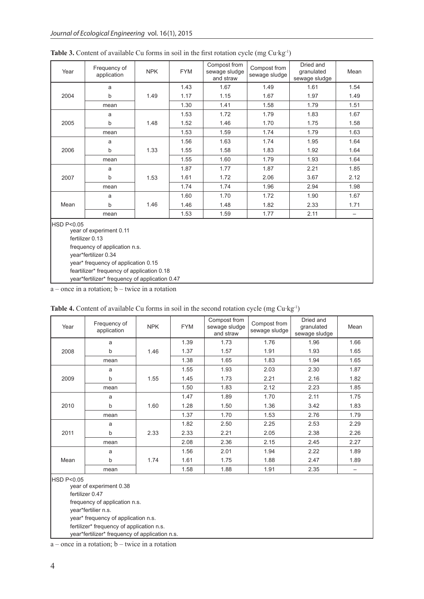| Year       | Frequency of<br>application                                                                                                                                                              | <b>NPK</b> | <b>FYM</b> | Compost from<br>sewage sludge<br>and straw | Compost from<br>sewage sludge | Dried and<br>granulated<br>sewage sludge | Mean              |
|------------|------------------------------------------------------------------------------------------------------------------------------------------------------------------------------------------|------------|------------|--------------------------------------------|-------------------------------|------------------------------------------|-------------------|
|            | a                                                                                                                                                                                        |            | 1.43       | 1.67                                       | 1.49                          | 1.61                                     | 1.54              |
| 2004       | b                                                                                                                                                                                        | 1.49       | 1.17       | 1.15                                       | 1.67                          | 1.97                                     | 1.49              |
|            | mean                                                                                                                                                                                     |            | 1.30       | 1.41                                       | 1.58                          | 1.79                                     | 1.51              |
|            | a                                                                                                                                                                                        |            | 1.53       | 1.72                                       | 1.79                          | 1.83                                     | 1.67              |
| 2005       | $\mathsf{b}$                                                                                                                                                                             | 1.48       | 1.52       | 1.46                                       | 1.70                          | 1.75                                     | 1.58              |
|            | mean                                                                                                                                                                                     |            | 1.53       | 1.59                                       | 1.74                          | 1.79                                     | 1.63              |
| 2006       | a                                                                                                                                                                                        | 1.33       | 1.56       | 1.63                                       | 1.74                          | 1.95                                     | 1.64              |
|            | b                                                                                                                                                                                        |            | 1.55       | 1.58                                       | 1.83                          | 1.92                                     | 1.64              |
|            | mean                                                                                                                                                                                     |            | 1.55       | 1.60                                       | 1.79                          | 1.93                                     | 1.64              |
|            | a                                                                                                                                                                                        | 1.53       | 1.87       | 1.77                                       | 1.87                          | 2.21                                     | 1.85              |
| 2007       | b                                                                                                                                                                                        |            | 1.61       | 1.72                                       | 2.06                          | 3.67                                     | 2.12              |
|            | mean                                                                                                                                                                                     |            | 1.74       | 1.74                                       | 1.96                          | 2.94                                     | 1.98              |
|            | a                                                                                                                                                                                        |            | 1.60       | 1.70                                       | 1.72                          | 1.90                                     | 1.67              |
| Mean       | b                                                                                                                                                                                        | 1.46       | 1.46       | 1.48                                       | 1.82                          | 2.33                                     | 1.71              |
|            | mean                                                                                                                                                                                     |            | 1.53       | 1.59                                       | 1.77                          | 2.11                                     | $\qquad \qquad -$ |
| HSD P<0.05 | year of experiment 0.11<br>fertilizer 0.13<br>frequency of application n.s.<br>year*fertilizer 0.34<br>year* frequency of application 0.15<br>feartilizer* frequency of application 0.18 |            |            |                                            |                               |                                          |                   |

|  |  | Table 3. Content of available Cu forms in soil in the first rotation cycle (mg Cu·kg <sup>-1</sup> ) |  |  |  |  |  |  |
|--|--|------------------------------------------------------------------------------------------------------|--|--|--|--|--|--|
|--|--|------------------------------------------------------------------------------------------------------|--|--|--|--|--|--|

 $a$  – once in a rotation;  $b$  – twice in a rotation

year\*fertilizer\* frequency of application 0.47

| Year | Frequency of<br>application | <b>NPK</b> | <b>FYM</b> | Compost from<br>Compost from<br>sewage sludge<br>sewage sludge<br>and straw |      | Dried and<br>granulated<br>sewage sludge | Mean |
|------|-----------------------------|------------|------------|-----------------------------------------------------------------------------|------|------------------------------------------|------|
|      | a                           |            | 1.39       | 1.73                                                                        | 1.76 | 1.96                                     | 1.66 |
| 2008 | b                           | 1.46       | 1.37       | 1.57                                                                        | 1.91 | 1.93                                     | 1.65 |
|      | mean                        |            | 1.38       | 1.65                                                                        | 1.83 | 1.94                                     | 1.65 |
|      | a                           |            | 1.55       | 1.93                                                                        | 2.03 | 2.30                                     | 1.87 |
| 2009 | b                           | 1.55       | 1.45       | 1.73                                                                        | 2.21 | 2.16                                     | 1.82 |
|      | mean                        |            | 1.50       | 1.83                                                                        | 2.12 | 2.23                                     | 1.85 |
|      | a                           | 1.60       | 1.47       | 1.89                                                                        | 1.70 | 2.11                                     | 1.75 |
| 2010 | b                           |            | 1.28       | 1.50                                                                        | 1.36 | 3.42                                     | 1.83 |
|      | mean                        |            | 1.37       | 1.70                                                                        | 1.53 | 2.76                                     | 1.79 |
|      | a                           |            | 1.82       | 2.50                                                                        | 2.25 | 2.53                                     | 2.29 |
| 2011 | b                           | 2.33       | 2.33       | 2.21                                                                        | 2.05 | 2.38                                     | 2.26 |
|      | mean                        |            | 2.08       | 2.36                                                                        | 2.15 | 2.45                                     | 2.27 |
|      | a                           |            | 1.56       | 2.01                                                                        | 1.94 | 2.22                                     | 1.89 |
| Mean | b                           | 1.74       | 1.61       | 1.75                                                                        | 1.88 | 2.47                                     | 1.89 |
|      | mean                        |            | 1.58       | 1.88                                                                        | 1.91 | 2.35                                     |      |

|  |  | <b>Table 4.</b> Content of available Cu forms in soil in the second rotation cycle $(mg Cu \cdot kg^{-1})$ |  |  |  |  |  |  |  |  |  |
|--|--|------------------------------------------------------------------------------------------------------------|--|--|--|--|--|--|--|--|--|
|--|--|------------------------------------------------------------------------------------------------------------|--|--|--|--|--|--|--|--|--|

**HSD P<0.05** year of experiment 0.38

fertilizer 0.47 frequency of application n.s. year\*fertilier n.s. year\* frequency of application n.s. fertilizer\* frequency of application n.s.

year\*fertilizer\* frequency of application n.s.

a – once in a rotation; b – twice in a rotation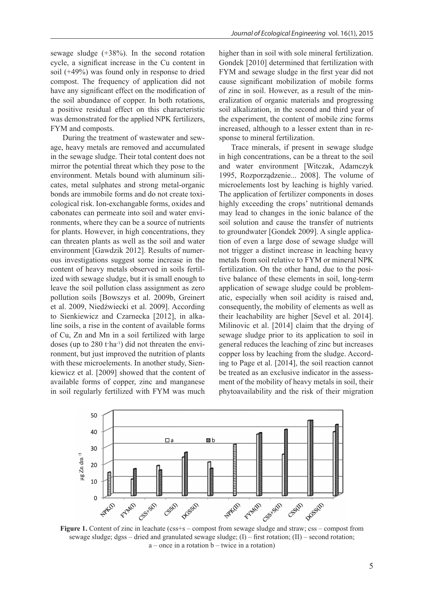sewage sludge (+38%). In the second rotation cycle, a significat increase in the Cu content in soil (+49%) was found only in response to dried compost. The frequency of application did not have any significant effect on the modification of the soil abundance of copper. In both rotations, a positive residual effect on this characteristic was demonstrated for the applied NPK fertilizers, FYM and composts.

During the treatment of wastewater and sewage, heavy metals are removed and accumulated in the sewage sludge. Their total content does not mirror the potential threat which they pose to the environment. Metals bound with aluminum silicates, metal sulphates and strong metal-organic bonds are immobile forms and do not create toxicological risk. Ion-exchangable forms, oxides and cabonates can permeate into soil and water environments, where they can be a source of nutrients for plants. However, in high concentrations, they can threaten plants as well as the soil and water environment [Gawdzik 2012]. Results of numerous investigations suggest some increase in the content of heavy metals observed in soils fertilized with sewage sludge, but it is small enough to leave the soil pollution class assignment as zero pollution soils [Bowszys et al. 2009b, Greinert et al. 2009, Niedźwiecki et al. 2009]. According to Sienkiewicz and Czarnecka [2012], in alkaline soils, a rise in the content of available forms of Cu, Zn and Mn in a soil fertilized with large doses (up to  $280$  t·ha<sup>-1</sup>) did not threaten the environment, but just improved the nutrition of plants with these microelements. In another study, Sienkiewicz et al. [2009] showed that the content of available forms of copper, zinc and manganese in soil regularly fertilized with FYM was much

higher than in soil with sole mineral fertilization. Gondek [2010] determined that fertilization with FYM and sewage sludge in the first year did not cause significant mobilization of mobile forms of zinc in soil. However, as a result of the mineralization of organic materials and progressing soil alkalization, in the second and third year of the experiment, the content of mobile zinc forms increased, although to a lesser extent than in response to mineral fertilization.

Trace minerals, if present in sewage sludge in high concentrations, can be a threat to the soil and water environment [Witczak, Adamczyk 1995, Rozporządzenie... 2008]. The volume of microelements lost by leaching is highly varied. The application of fertilizer components in doses highly exceeding the crops' nutritional demands may lead to changes in the ionic balance of the soil solution and cause the transfer of nutrients to groundwater [Gondek 2009]. A single application of even a large dose of sewage sludge will not trigger a distinct increase in leaching heavy metals from soil relative to FYM or mineral NPK fertilization. On the other hand, due to the positive balance of these elements in soil, long-term application of sewage sludge could be problematic, especially when soil acidity is raised and, consequently, the mobility of elements as well as their leachability are higher [Sevel et al. 2014]. Milinovic et al. [2014] claim that the drying of sewage sludge prior to its application to soil in general reduces the leaching of zinc but increases copper loss by leaching from the sludge. According to Page et al. [2014], the soil reaction cannot be treated as an exclusive indicator in the assessment of the mobility of heavy metals in soil, their phytoavailability and the risk of their migration



sewage sludge; dgss – dried and granulated sewage sludge;  $(I)$  – first rotation;  $(II)$  – second rotation;  $a$  – once in a rotation  $b$  – twice in a rotation)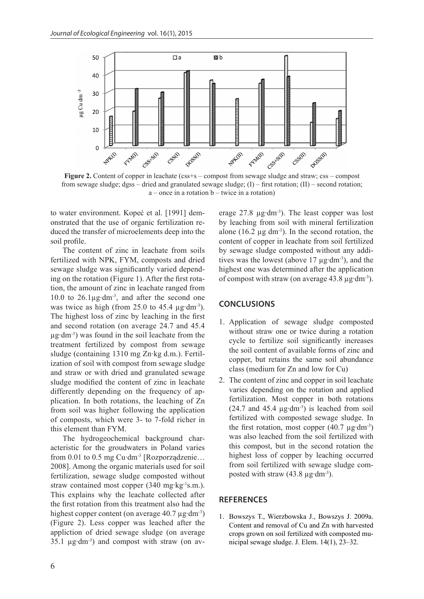

from sewage sludge; dgss – dried and granulated sewage sludge;  $(I)$  – first rotation;  $(II)$  – second rotation;  $a$  – once in a rotation  $b$  – twice in a rotation)

to water environment. Kopeć et al. [1991] demonstrated that the use of organic fertilization reduced the transfer of microelements deep into the soil profile.

The content of zinc in leachate from soils fertilized with NPK, FYM, composts and dried sewage sludge was significantly varied depending on the rotation (Figure 1). After the first rotation, the amount of zinc in leachate ranged from 10.0 to 26.1µg∙dm-3, and after the second one was twice as high (from 25.0 to 45.4 μg⋅dm<sup>-3</sup>). The highest loss of zinc by leaching in the first and second rotation (on average 24.7 and 45.4 µg∙dm-3) was found in the soil leachate from the treatment fertilized by compost from sewage sludge (containing 1310 mg Zn∙kg d.m.). Fertilization of soil with compost from sewage sludge and straw or with dried and granulated sewage sludge modified the content of zinc in leachate differently depending on the frequency of application. In both rotations, the leaching of Zn from soil was higher following the application of composts, which were 3- to 7-fold richer in this element than FYM.

The hydrogeochemical background characteristic for the groudwaters in Poland varies from 0.01 to 0.5 mg Cu∙dm-3 [Rozporządzenie… 2008]. Among the organic materials used for soil fertilization, sewage sludge composted without straw contained most copper (340 mg⋅kg<sup>-1</sup>s.m.). This explains why the leachate collected after the first rotation from this treatment also had the highest copper content (on average 40.7 µg⋅dm<sup>-3</sup>) (Figure 2). Less copper was leached after the appliction of dried sewage sludge (on average 35.1 µg∙dm-3) and compost with straw (on average 27.8 µg∙dm-3). The least copper was lost by leaching from soil with mineral fertilization alone (16.2  $\mu$ g dm<sup>-3</sup>). In the second rotation, the content of copper in leachate from soil fertilized by sewage sludge composted without any additives was the lowest (above 17 µg∙dm-3), and the highest one was determined after the application of compost with straw (on average 43.8 µg∙dm-3).

## **CONCLUSIONS**

- 1. Application of sewage sludge composted without straw one or twice during a rotation cycle to fertilize soil significantly increases the soil content of available forms of zinc and copper, but retains the same soil abundance class (medium for Zn and low for Cu)
- 2. The content of zinc and copper in soil leachate varies depending on the rotation and applied fertilization. Most copper in both rotations (24.7 and 45.4 µg⋅dm<sup>-3</sup>) is leached from soil fertilized with composted sewage sludge. In the first rotation, most copper (40.7 µg∙dm-3) was also leached from the soil fertilized with this compost, but in the second rotation the highest loss of copper by leaching occurred from soil fertilized with sewage sludge composted with straw (43.8 µg∙dm-3).

#### **REFERENCES**

1. Bowszys T., Wierzbowska J., Bowszys J. 2009a. Content and removal of Cu and Zn with harvested crops grown on soil fertilized with composted municipal sewage sludge. J. Elem. 14(1), 23–32.